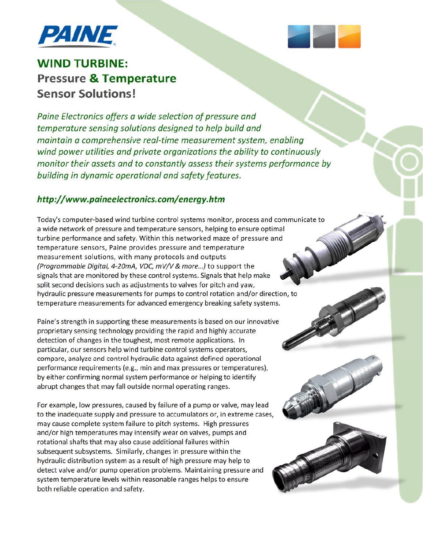



*Paine Electronics offers a wide selection of pressure and temperature sensing solutions designed to help build and maintain a comprehensive real‐time measurement system, enabling wind power utilities and private organizations the ability to continuously monitor their assets and to constantly assess their systems performance by building in dynamic operational and safety features.*

## *http://www.paineelectronics.com/energy.htm*

Today's computer‐based wind turbine control systems monitor, process and communicate to a wide network of pressure and temperature sensors, helping to ensure optimal turbine performance and safety. Within this networked maze of pressure and temperature sensors, Paine provides pressure and temperature measurement solutions, with many protocols and outputs *(Programmable Digital, 4‐20mA, VDC, mV/V & more…)* to support the signals that are monitored by these control systems. Signals that help make split second decisions such as adjustments to valves for pitch and yaw, hydraulic pressure measurements for pumps to control rotation and/or direction, to temperature measurements for advanced emergency breaking safety systems.

Paine's strength in supporting these measurements is based on our innovative proprietary sensing technology providing the rapid and highly accurate detection of changes in the toughest, most remote applications. In particular, our sensors help wind turbine control systems operators, compare, analyze and control hydraulic data against defined operational performance requirements (e.g., min and max pressures or temperatures), by either confirming normal system performance or helping to identify abrupt changes that may fall outside normal operating ranges.

For example, low pressures, caused by failure of a pump or valve, may lead to the inadequate supply and pressure to accumulators or, in extreme cases, may cause complete system failure to pitch systems. High pressures and/or high temperatures may intensify wear on valves, pumps and rotational shafts that may also cause additional failures within subsequent subsystems. Similarly, changes in pressure within the hydraulic distribution system as a result of high pressure may help to detect valve and/or pump operation problems. Maintaining pressure and system temperature levels within reasonable ranges helps to ensure both reliable operation and safety.